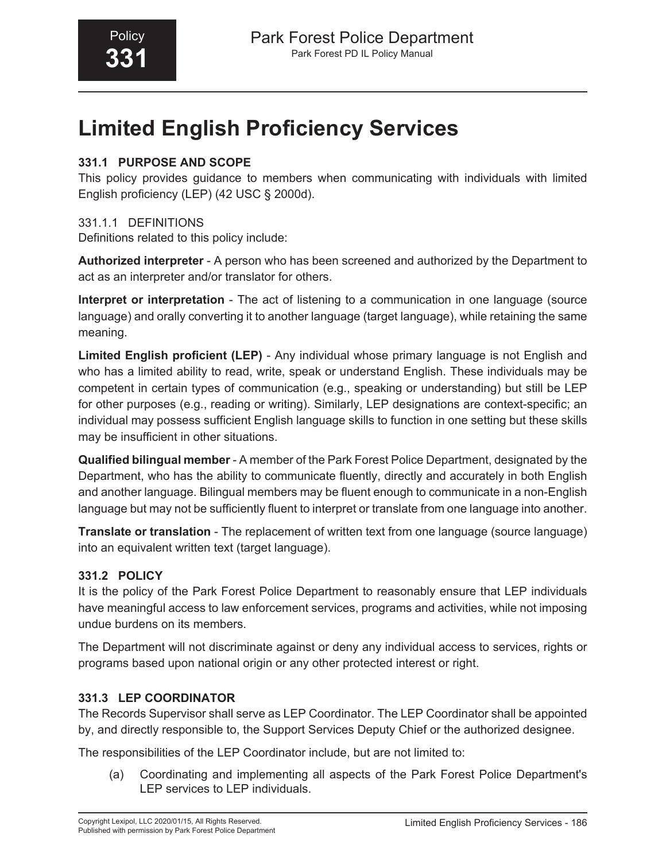# **Limited English Proficiency Services**

#### **331.1 PURPOSE AND SCOPE**

This policy provides guidance to members when communicating with individuals with limited English proficiency (LEP) (42 USC § 2000d).

#### 331.1.1 DEFINITIONS

Definitions related to this policy include:

**Authorized interpreter** - A person who has been screened and authorized by the Department to act as an interpreter and/or translator for others.

**Interpret or interpretation** - The act of listening to a communication in one language (source language) and orally converting it to another language (target language), while retaining the same meaning.

**Limited English proficient (LEP)** - Any individual whose primary language is not English and who has a limited ability to read, write, speak or understand English. These individuals may be competent in certain types of communication (e.g., speaking or understanding) but still be LEP for other purposes (e.g., reading or writing). Similarly, LEP designations are context-specific; an individual may possess sufficient English language skills to function in one setting but these skills may be insufficient in other situations.

**Qualified bilingual member** - A member of the Park Forest Police Department, designated by the Department, who has the ability to communicate fluently, directly and accurately in both English and another language. Bilingual members may be fluent enough to communicate in a non-English language but may not be sufficiently fluent to interpret or translate from one language into another.

**Translate or translation** - The replacement of written text from one language (source language) into an equivalent written text (target language).

#### **331.2 POLICY**

It is the policy of the Park Forest Police Department to reasonably ensure that LEP individuals have meaningful access to law enforcement services, programs and activities, while not imposing undue burdens on its members.

The Department will not discriminate against or deny any individual access to services, rights or programs based upon national origin or any other protected interest or right.

#### **331.3 LEP COORDINATOR**

The Records Supervisor shall serve as LEP Coordinator. The LEP Coordinator shall be appointed by, and directly responsible to, the Support Services Deputy Chief or the authorized designee.

The responsibilities of the LEP Coordinator include, but are not limited to:

(a) Coordinating and implementing all aspects of the Park Forest Police Department's LEP services to LEP individuals.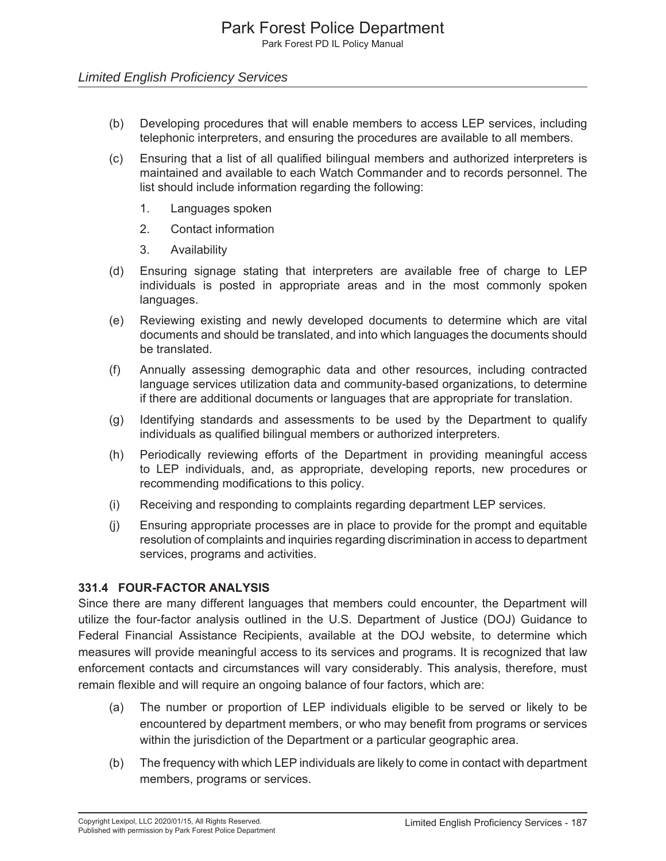#### *Limited English Proficiency Services*

- (b) Developing procedures that will enable members to access LEP services, including telephonic interpreters, and ensuring the procedures are available to all members.
- (c) Ensuring that a list of all qualified bilingual members and authorized interpreters is maintained and available to each Watch Commander and to records personnel. The list should include information regarding the following:
	- 1. Languages spoken
	- 2. Contact information
	- 3. Availability
- (d) Ensuring signage stating that interpreters are available free of charge to LEP individuals is posted in appropriate areas and in the most commonly spoken languages.
- (e) Reviewing existing and newly developed documents to determine which are vital documents and should be translated, and into which languages the documents should be translated.
- (f) Annually assessing demographic data and other resources, including contracted language services utilization data and community-based organizations, to determine if there are additional documents or languages that are appropriate for translation.
- (g) Identifying standards and assessments to be used by the Department to qualify individuals as qualified bilingual members or authorized interpreters.
- (h) Periodically reviewing efforts of the Department in providing meaningful access to LEP individuals, and, as appropriate, developing reports, new procedures or recommending modifications to this policy.
- (i) Receiving and responding to complaints regarding department LEP services.
- (j) Ensuring appropriate processes are in place to provide for the prompt and equitable resolution of complaints and inquiries regarding discrimination in access to department services, programs and activities.

#### **331.4 FOUR-FACTOR ANALYSIS**

Since there are many different languages that members could encounter, the Department will utilize the four-factor analysis outlined in the U.S. Department of Justice (DOJ) Guidance to Federal Financial Assistance Recipients, available at the DOJ website, to determine which measures will provide meaningful access to its services and programs. It is recognized that law enforcement contacts and circumstances will vary considerably. This analysis, therefore, must remain flexible and will require an ongoing balance of four factors, which are:

- (a) The number or proportion of LEP individuals eligible to be served or likely to be encountered by department members, or who may benefit from programs or services within the jurisdiction of the Department or a particular geographic area.
- (b) The frequency with which LEP individuals are likely to come in contact with department members, programs or services.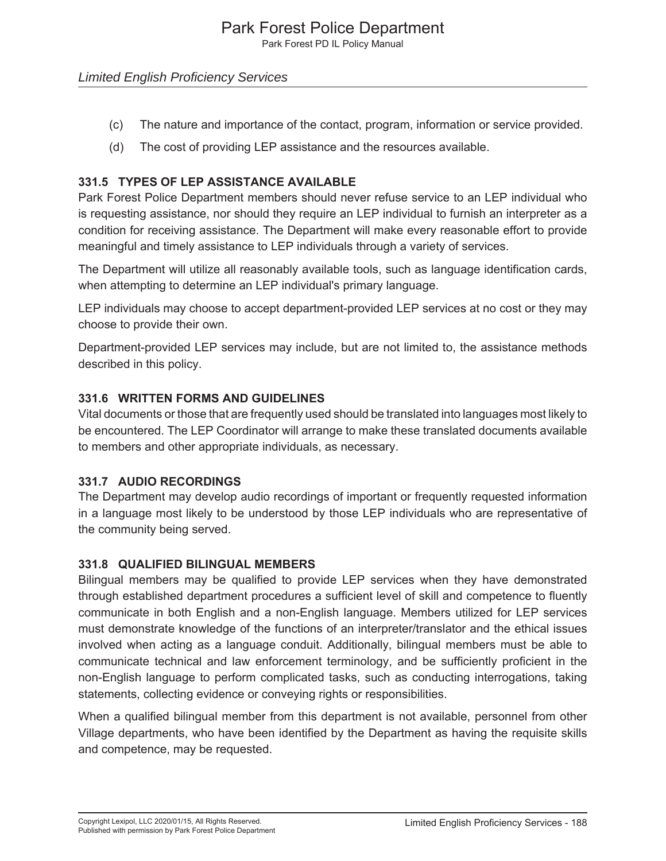Park Forest PD IL Policy Manual

#### *Limited English Proficiency Services*

- (c) The nature and importance of the contact, program, information or service provided.
- (d) The cost of providing LEP assistance and the resources available.

#### **331.5 TYPES OF LEP ASSISTANCE AVAILABLE**

Park Forest Police Department members should never refuse service to an LEP individual who is requesting assistance, nor should they require an LEP individual to furnish an interpreter as a condition for receiving assistance. The Department will make every reasonable effort to provide meaningful and timely assistance to LEP individuals through a variety of services.

The Department will utilize all reasonably available tools, such as language identification cards, when attempting to determine an LEP individual's primary language.

LEP individuals may choose to accept department-provided LEP services at no cost or they may choose to provide their own.

Department-provided LEP services may include, but are not limited to, the assistance methods described in this policy.

#### **331.6 WRITTEN FORMS AND GUIDELINES**

Vital documents or those that are frequently used should be translated into languages most likely to be encountered. The LEP Coordinator will arrange to make these translated documents available to members and other appropriate individuals, as necessary.

#### **331.7 AUDIO RECORDINGS**

The Department may develop audio recordings of important or frequently requested information in a language most likely to be understood by those LEP individuals who are representative of the community being served.

#### **331.8 QUALIFIED BILINGUAL MEMBERS**

Bilingual members may be qualified to provide LEP services when they have demonstrated through established department procedures a sufficient level of skill and competence to fluently communicate in both English and a non-English language. Members utilized for LEP services must demonstrate knowledge of the functions of an interpreter/translator and the ethical issues involved when acting as a language conduit. Additionally, bilingual members must be able to communicate technical and law enforcement terminology, and be sufficiently proficient in the non-English language to perform complicated tasks, such as conducting interrogations, taking statements, collecting evidence or conveying rights or responsibilities.

When a qualified bilingual member from this department is not available, personnel from other Village departments, who have been identified by the Department as having the requisite skills and competence, may be requested.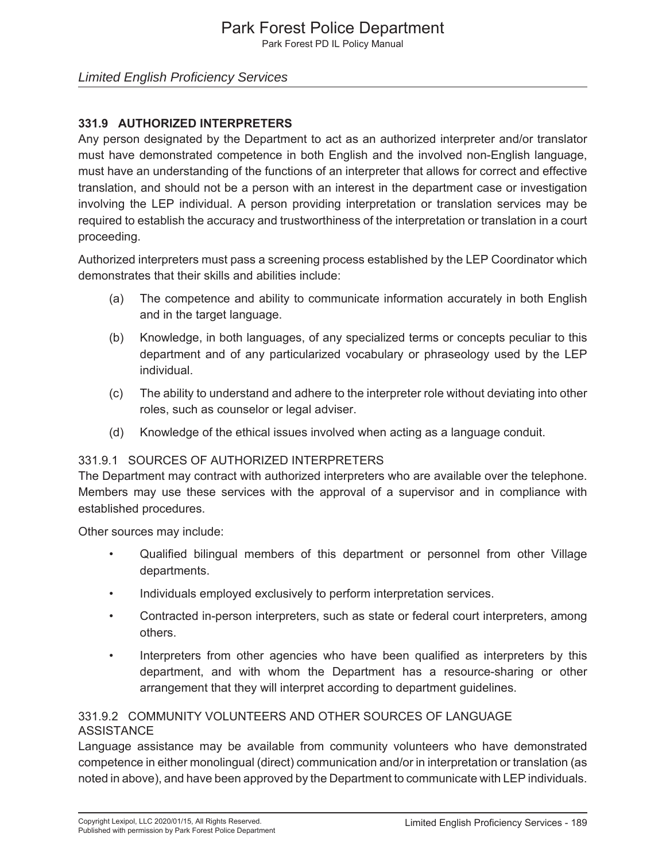Park Forest PD IL Policy Manual

#### *Limited English Proficiency Services*

#### **331.9 AUTHORIZED INTERPRETERS**

Any person designated by the Department to act as an authorized interpreter and/or translator must have demonstrated competence in both English and the involved non-English language, must have an understanding of the functions of an interpreter that allows for correct and effective translation, and should not be a person with an interest in the department case or investigation involving the LEP individual. A person providing interpretation or translation services may be required to establish the accuracy and trustworthiness of the interpretation or translation in a court proceeding.

Authorized interpreters must pass a screening process established by the LEP Coordinator which demonstrates that their skills and abilities include:

- (a) The competence and ability to communicate information accurately in both English and in the target language.
- (b) Knowledge, in both languages, of any specialized terms or concepts peculiar to this department and of any particularized vocabulary or phraseology used by the LEP individual.
- (c) The ability to understand and adhere to the interpreter role without deviating into other roles, such as counselor or legal adviser.
- (d) Knowledge of the ethical issues involved when acting as a language conduit.

#### 331.9.1 SOURCES OF AUTHORIZED INTERPRETERS

The Department may contract with authorized interpreters who are available over the telephone. Members may use these services with the approval of a supervisor and in compliance with established procedures.

Other sources may include:

- Qualified bilingual members of this department or personnel from other Village departments.
- Individuals employed exclusively to perform interpretation services.
- Contracted in-person interpreters, such as state or federal court interpreters, among others.
- Interpreters from other agencies who have been qualified as interpreters by this department, and with whom the Department has a resource-sharing or other arrangement that they will interpret according to department guidelines.

#### 331.9.2 COMMUNITY VOLUNTEERS AND OTHER SOURCES OF LANGUAGE ASSISTANCE

Language assistance may be available from community volunteers who have demonstrated competence in either monolingual (direct) communication and/or in interpretation or translation (as noted in above), and have been approved by the Department to communicate with LEP individuals.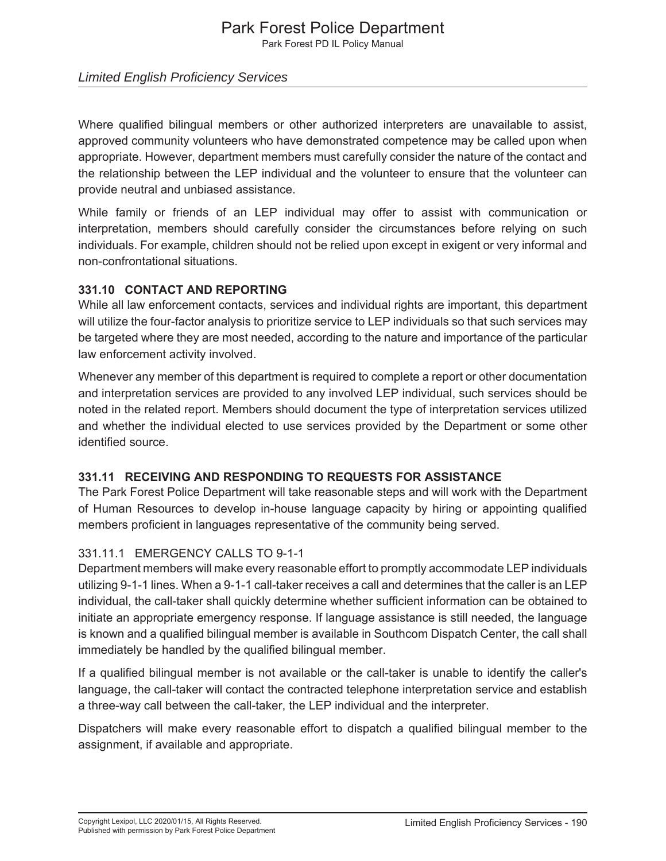Park Forest PD IL Policy Manual

#### *Limited English Proficiency Services*

Where qualified bilingual members or other authorized interpreters are unavailable to assist, approved community volunteers who have demonstrated competence may be called upon when appropriate. However, department members must carefully consider the nature of the contact and the relationship between the LEP individual and the volunteer to ensure that the volunteer can provide neutral and unbiased assistance.

While family or friends of an LEP individual may offer to assist with communication or interpretation, members should carefully consider the circumstances before relying on such individuals. For example, children should not be relied upon except in exigent or very informal and non-confrontational situations.

#### **331.10 CONTACT AND REPORTING**

While all law enforcement contacts, services and individual rights are important, this department will utilize the four-factor analysis to prioritize service to LEP individuals so that such services may be targeted where they are most needed, according to the nature and importance of the particular law enforcement activity involved.

Whenever any member of this department is required to complete a report or other documentation and interpretation services are provided to any involved LEP individual, such services should be noted in the related report. Members should document the type of interpretation services utilized and whether the individual elected to use services provided by the Department or some other identified source.

#### **331.11 RECEIVING AND RESPONDING TO REQUESTS FOR ASSISTANCE**

The Park Forest Police Department will take reasonable steps and will work with the Department of Human Resources to develop in-house language capacity by hiring or appointing qualified members proficient in languages representative of the community being served.

#### 331.11.1 EMERGENCY CALLS TO 9-1-1

Department members will make every reasonable effort to promptly accommodate LEP individuals utilizing 9-1-1 lines. When a 9-1-1 call-taker receives a call and determines that the caller is an LEP individual, the call-taker shall quickly determine whether sufficient information can be obtained to initiate an appropriate emergency response. If language assistance is still needed, the language is known and a qualified bilingual member is available in Southcom Dispatch Center, the call shall immediately be handled by the qualified bilingual member.

If a qualified bilingual member is not available or the call-taker is unable to identify the caller's language, the call-taker will contact the contracted telephone interpretation service and establish a three-way call between the call-taker, the LEP individual and the interpreter.

Dispatchers will make every reasonable effort to dispatch a qualified bilingual member to the assignment, if available and appropriate.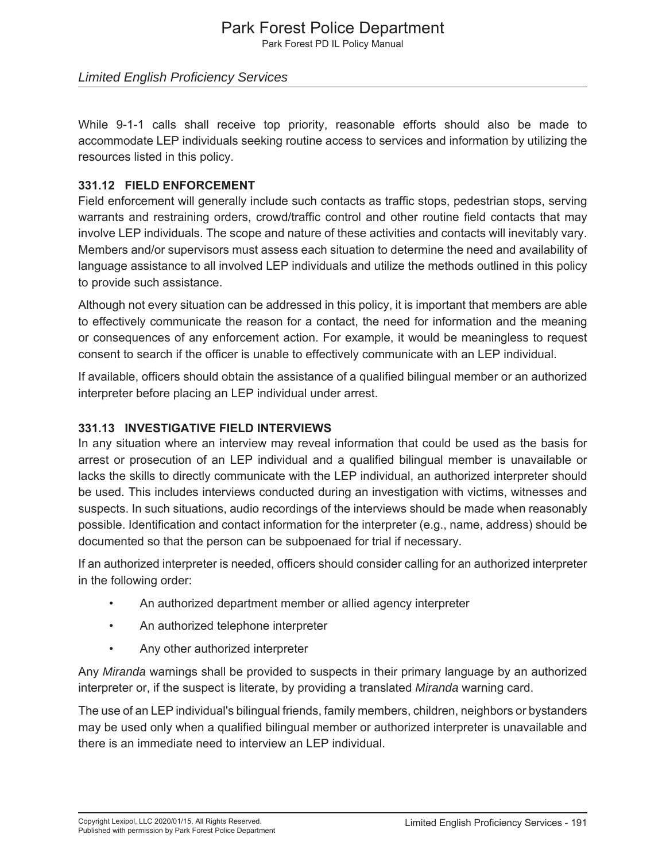Park Forest PD IL Policy Manual

#### *Limited English Proficiency Services*

While 9-1-1 calls shall receive top priority, reasonable efforts should also be made to accommodate LEP individuals seeking routine access to services and information by utilizing the resources listed in this policy.

#### **331.12 FIELD ENFORCEMENT**

Field enforcement will generally include such contacts as traffic stops, pedestrian stops, serving warrants and restraining orders, crowd/traffic control and other routine field contacts that may involve LEP individuals. The scope and nature of these activities and contacts will inevitably vary. Members and/or supervisors must assess each situation to determine the need and availability of language assistance to all involved LEP individuals and utilize the methods outlined in this policy to provide such assistance.

Although not every situation can be addressed in this policy, it is important that members are able to effectively communicate the reason for a contact, the need for information and the meaning or consequences of any enforcement action. For example, it would be meaningless to request consent to search if the officer is unable to effectively communicate with an LEP individual.

If available, officers should obtain the assistance of a qualified bilingual member or an authorized interpreter before placing an LEP individual under arrest.

#### **331.13 INVESTIGATIVE FIELD INTERVIEWS**

In any situation where an interview may reveal information that could be used as the basis for arrest or prosecution of an LEP individual and a qualified bilingual member is unavailable or lacks the skills to directly communicate with the LEP individual, an authorized interpreter should be used. This includes interviews conducted during an investigation with victims, witnesses and suspects. In such situations, audio recordings of the interviews should be made when reasonably possible. Identification and contact information for the interpreter (e.g., name, address) should be documented so that the person can be subpoenaed for trial if necessary.

If an authorized interpreter is needed, officers should consider calling for an authorized interpreter in the following order:

- An authorized department member or allied agency interpreter
- An authorized telephone interpreter
- Any other authorized interpreter

Any *Miranda* warnings shall be provided to suspects in their primary language by an authorized interpreter or, if the suspect is literate, by providing a translated *Miranda* warning card.

The use of an LEP individual's bilingual friends, family members, children, neighbors or bystanders may be used only when a qualified bilingual member or authorized interpreter is unavailable and there is an immediate need to interview an LEP individual.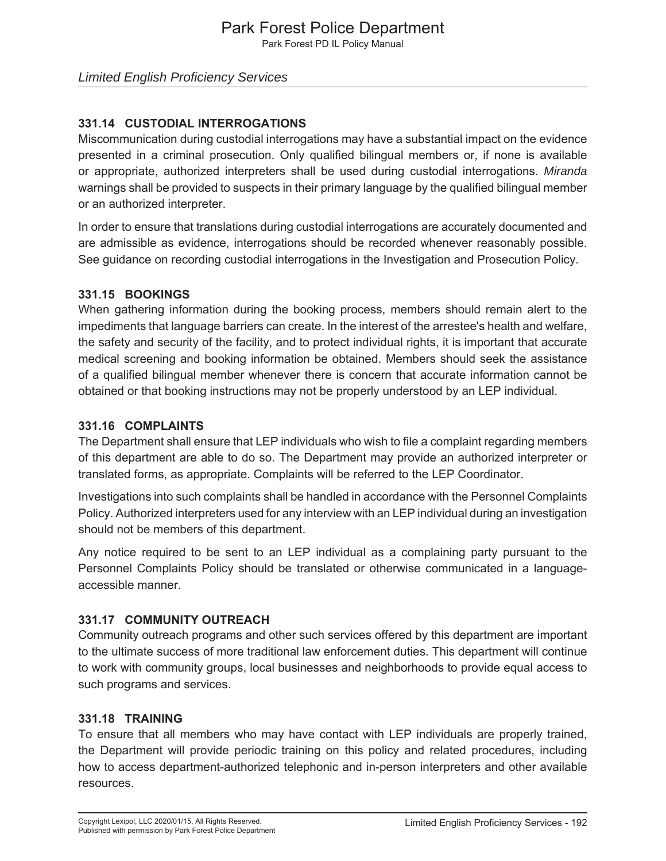Park Forest PD IL Policy Manual

#### **331.14 CUSTODIAL INTERROGATIONS**

Miscommunication during custodial interrogations may have a substantial impact on the evidence presented in a criminal prosecution. Only qualified bilingual members or, if none is available or appropriate, authorized interpreters shall be used during custodial interrogations. *Miranda* warnings shall be provided to suspects in their primary language by the qualified bilingual member or an authorized interpreter.

In order to ensure that translations during custodial interrogations are accurately documented and are admissible as evidence, interrogations should be recorded whenever reasonably possible. See guidance on recording custodial interrogations in the Investigation and Prosecution Policy.

#### **331.15 BOOKINGS**

When gathering information during the booking process, members should remain alert to the impediments that language barriers can create. In the interest of the arrestee's health and welfare, the safety and security of the facility, and to protect individual rights, it is important that accurate medical screening and booking information be obtained. Members should seek the assistance of a qualified bilingual member whenever there is concern that accurate information cannot be obtained or that booking instructions may not be properly understood by an LEP individual.

#### **331.16 COMPLAINTS**

The Department shall ensure that LEP individuals who wish to file a complaint regarding members of this department are able to do so. The Department may provide an authorized interpreter or translated forms, as appropriate. Complaints will be referred to the LEP Coordinator.

Investigations into such complaints shall be handled in accordance with the Personnel Complaints Policy. Authorized interpreters used for any interview with an LEP individual during an investigation should not be members of this department.

Any notice required to be sent to an LEP individual as a complaining party pursuant to the Personnel Complaints Policy should be translated or otherwise communicated in a languageaccessible manner.

#### **331.17 COMMUNITY OUTREACH**

Community outreach programs and other such services offered by this department are important to the ultimate success of more traditional law enforcement duties. This department will continue to work with community groups, local businesses and neighborhoods to provide equal access to such programs and services.

#### **331.18 TRAINING**

To ensure that all members who may have contact with LEP individuals are properly trained, the Department will provide periodic training on this policy and related procedures, including how to access department-authorized telephonic and in-person interpreters and other available resources.